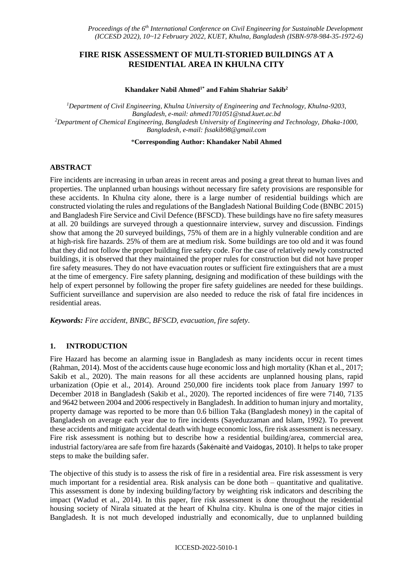# **FIRE RISK ASSESSMENT OF MULTI-STORIED BUILDINGS AT A RESIDENTIAL AREA IN KHULNA CITY**

#### **Khandaker Nabil Ahmed1\* and Fahim Shahriar Sakib<sup>2</sup>**

*<sup>1</sup>Department of Civil Engineering, Khulna University of Engineering and Technology, Khulna-9203, Bangladesh, e-mail: ahmed1701051@stud.kuet.ac.bd <sup>2</sup>Department of Chemical Engineering, Bangladesh University of Engineering and Technology, Dhaka-1000, Bangladesh, e-mail: fssakib98@gmail.com*

\***Corresponding Author: Khandaker Nabil Ahmed**

### **ABSTRACT**

Fire incidents are increasing in urban areas in recent areas and posing a great threat to human lives and properties. The unplanned urban housings without necessary fire safety provisions are responsible for these accidents. In Khulna city alone, there is a large number of residential buildings which are constructed violating the rules and regulations of the Bangladesh National Building Code (BNBC 2015) and Bangladesh Fire Service and Civil Defence (BFSCD). These buildings have no fire safety measures at all. 20 buildings are surveyed through a questionnaire interview, survey and discussion. Findings show that among the 20 surveyed buildings, 75% of them are in a highly vulnerable condition and are at high-risk fire hazards. 25% of them are at medium risk. Some buildings are too old and it was found that they did not follow the proper building fire safety code. For the case of relatively newly constructed buildings, it is observed that they maintained the proper rules for construction but did not have proper fire safety measures. They do not have evacuation routes or sufficient fire extinguishers that are a must at the time of emergency. Fire safety planning, designing and modification of these buildings with the help of expert personnel by following the proper fire safety guidelines are needed for these buildings. Sufficient surveillance and supervision are also needed to reduce the risk of fatal fire incidences in residential areas.

*Keywords: Fire accident, BNBC, BFSCD, evacuation, fire safety.*

### **1. INTRODUCTION**

Fire Hazard has become an alarming issue in Bangladesh as many incidents occur in recent times (Rahman, 2014). Most of the accidents cause huge economic loss and high mortality (Khan et al., 2017; Sakib et al., 2020). The main reasons for all these accidents are unplanned housing plans, rapid urbanization (Opie et al., 2014). Around 250,000 fire incidents took place from January 1997 to December 2018 in Bangladesh (Sakib et al., 2020). The reported incidences of fire were 7140, 7135 and 9642 between 2004 and 2006 respectively in Bangladesh. In addition to human injury and mortality, property damage was reported to be more than 0.6 billion Taka (Bangladesh money) in the capital of Bangladesh on average each year due to fire incidents (Sayeduzzaman and Islam, 1992). To prevent these accidents and mitigate accidental death with huge economic loss, fire risk assessment is necessary. Fire risk assessment is nothing but to describe how a residential building/area, commercial area, industrial factory/area are safe from fire hazards (Šakėnaitė and Vaidogas, 2010). It helps to take proper steps to make the building safer.

The objective of this study is to assess the risk of fire in a residential area. Fire risk assessment is very much important for a residential area. Risk analysis can be done both – quantitative and qualitative. This assessment is done by indexing building/factory by weighting risk indicators and describing the impact (Wadud et al., 2014). In this paper, fire risk assessment is done throughout the residential housing society of Nirala situated at the heart of Khulna city. Khulna is one of the major cities in Bangladesh. It is not much developed industrially and economically, due to unplanned building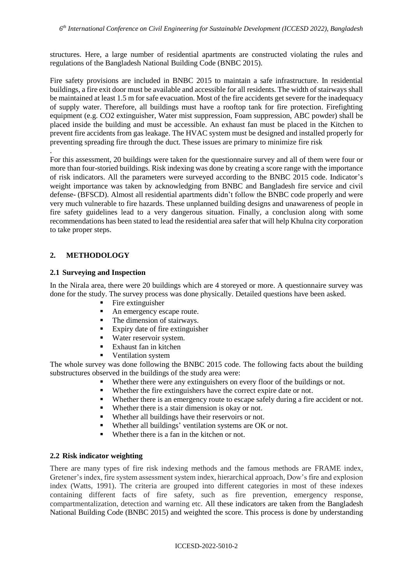structures. Here, a large number of residential apartments are constructed violating the rules and regulations of the Bangladesh National Building Code (BNBC 2015).

Fire safety provisions are included in BNBC 2015 to maintain a safe infrastructure. In residential buildings, a fire exit door must be available and accessible for all residents. The width of stairways shall be maintained at least 1.5 m for safe evacuation. Most of the fire accidents get severe for the inadequacy of supply water. Therefore, all buildings must have a rooftop tank for fire protection. Firefighting equipment (e.g. CO2 extinguisher, Water mist suppression, Foam suppression, ABC powder) shall be placed inside the building and must be accessible. An exhaust fan must be placed in the Kitchen to prevent fire accidents from gas leakage. The HVAC system must be designed and installed properly for preventing spreading fire through the duct. These issues are primary to minimize fire risk

For this assessment, 20 buildings were taken for the questionnaire survey and all of them were four or more than four-storied buildings. Risk indexing was done by creating a score range with the importance of risk indicators. All the parameters were surveyed according to the BNBC 2015 code. Indicator's weight importance was taken by acknowledging from BNBC and Bangladesh fire service and civil defense- (BFSCD). Almost all residential apartments didn't follow the BNBC code properly and were very much vulnerable to fire hazards. These unplanned building designs and unawareness of people in fire safety guidelines lead to a very dangerous situation. Finally, a conclusion along with some recommendations has been stated to lead the residential area safer that will help Khulna city corporation to take proper steps.

## **2. METHODOLOGY**

.

### **2.1 Surveying and Inspection**

In the Nirala area, there were 20 buildings which are 4 storeyed or more. A questionnaire survey was done for the study. The survey process was done physically. Detailed questions have been asked.

- $\blacksquare$  Fire extinguisher
- An emergency escape route.
- The dimension of stairways.
- Expiry date of fire extinguisher
- **Water reservoir system.**
- Exhaust fan in kitchen
- Ventilation system

The whole survey was done following the BNBC 2015 code. The following facts about the building substructures observed in the buildings of the study area were:

- Whether there were any extinguishers on every floor of the buildings or not.
- Whether the fire extinguishers have the correct expire date or not.
- Whether there is an emergency route to escape safely during a fire accident or not.
- Whether there is a stair dimension is okay or not.
- Whether all buildings have their reservoirs or not.
- Whether all buildings' ventilation systems are OK or not.
- Whether there is a fan in the kitchen or not.

### **2.2 Risk indicator weighting**

There are many types of fire risk indexing methods and the famous methods are FRAME index, Gretener's index, fire system assessment system index, hierarchical approach, Dow's fire and explosion index (Watts, 1991). The criteria are grouped into different categories in most of these indexes containing different facts of fire safety, such as fire prevention, emergency response, compartmentalization, detection and warning etc. All these indicators are taken from the Bangladesh National Building Code (BNBC 2015) and weighted the score. This process is done by understanding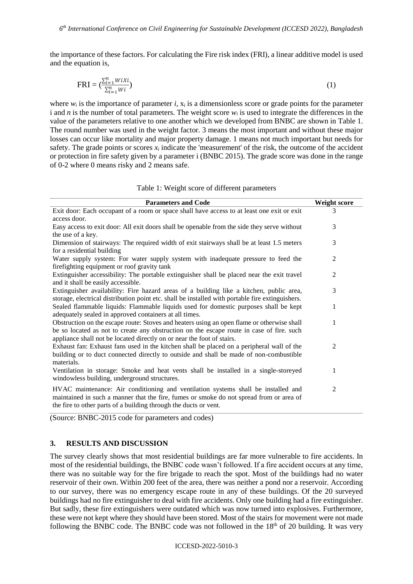the importance of these factors. For calculating the Fire risk index (FRI), a linear additive model is used and the equation is,

$$
\text{FRI} = \left(\frac{\sum_{i=1}^{n} W i X i}{\sum_{i=1}^{n} W i}\right) \tag{1}
$$

where  $w_i$  is the importance of parameter *i*,  $x_i$  is a dimensionless score or grade points for the parameter i and *n* is the number of total parameters. The weight score *w<sup>i</sup>* is used to integrate the differences in the value of the parameters relative to one another which we developed from BNBC are shown in Table 1. The round number was used in the weight factor. 3 means the most important and without these major losses can occur like mortality and major property damage. 1 means not much important but needs for safety. The grade points or scores  $x_i$  indicate the 'measurement' of the risk, the outcome of the accident or protection in fire safety given by a parameter i (BNBC 2015). The grade score was done in the range of 0-2 where 0 means risky and 2 means safe.

|  | Table 1: Weight score of different parameters |
|--|-----------------------------------------------|
|--|-----------------------------------------------|

| <b>Parameters and Code</b>                                                                                                                                                                                                                                       | <b>Weight score</b> |
|------------------------------------------------------------------------------------------------------------------------------------------------------------------------------------------------------------------------------------------------------------------|---------------------|
| Exit door: Each occupant of a room or space shall have access to at least one exit or exit<br>access door.                                                                                                                                                       | 3                   |
| Easy access to exit door: All exit doors shall be openable from the side they serve without<br>the use of a key.                                                                                                                                                 | 3                   |
| Dimension of stairways: The required width of exit stairways shall be at least 1.5 meters<br>for a residential building                                                                                                                                          | 3                   |
| Water supply system: For water supply system with inadequate pressure to feed the<br>fire fighting equipment or roof gravity tank                                                                                                                                | 2                   |
| Extinguisher accessibility: The portable extinguisher shall be placed near the exit travel<br>and it shall be easily accessible.                                                                                                                                 | 2                   |
| Extinguisher availability: Fire hazard areas of a building like a kitchen, public area,<br>storage, electrical distribution point etc. shall be installed with portable fire extinguishers.                                                                      | 3                   |
| Sealed flammable liquids: Flammable liquids used for domestic purposes shall be kept<br>adequately sealed in approved containers at all times.                                                                                                                   | 1                   |
| Obstruction on the escape route: Stoves and heaters using an open flame or otherwise shall<br>be so located as not to create any obstruction on the escape route in case of fire. such<br>appliance shall not be located directly on or near the foot of stairs. | 1                   |
| Exhaust fan: Exhaust fans used in the kitchen shall be placed on a peripheral wall of the<br>building or to duct connected directly to outside and shall be made of non-combustible<br>materials.                                                                | $\overline{2}$      |
| Ventilation in storage: Smoke and heat vents shall be installed in a single-storeyed<br>windowless building, underground structures.                                                                                                                             | 1                   |
| HVAC maintenance: Air conditioning and ventilation systems shall be installed and<br>maintained in such a manner that the fire, fumes or smoke do not spread from or area of<br>the fire to other parts of a building through the ducts or vent.                 | $\overline{2}$      |

(Source: BNBC-2015 code for parameters and codes)

### **3. RESULTS AND DISCUSSION**

The survey clearly shows that most residential buildings are far more vulnerable to fire accidents. In most of the residential buildings, the BNBC code wasn't followed. If a fire accident occurs at any time, there was no suitable way for the fire brigade to reach the spot. Most of the buildings had no water reservoir of their own. Within 200 feet of the area, there was neither a pond nor a reservoir. According to our survey, there was no emergency escape route in any of these buildings. Of the 20 surveyed buildings had no fire extinguisher to deal with fire accidents. Only one building had a fire extinguisher. But sadly, these fire extinguishers were outdated which was now turned into explosives. Furthermore, these were not kept where they should have been stored. Most of the stairs for movement were not made following the BNBC code. The BNBC code was not followed in the  $18<sup>th</sup>$  of 20 building. It was very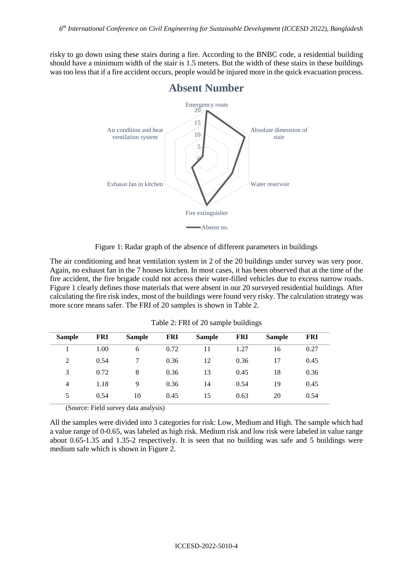risky to go down using these stairs during a fire. According to the BNBC code, a residential building should have a minimum width of the stair is 1.5 meters. But the width of these stairs in these buildings was too less that if a fire accident occurs, people would be injured more in the quick evacuation process.



Figure 1: Radar graph of the absence of different parameters in buildings

The air conditioning and heat ventilation system in 2 of the 20 buildings under survey was very poor. Again, no exhaust fan in the 7 houses kitchen. In most cases, it has been observed that at the time of the fire accident, the fire brigade could not access their water-filled vehicles due to excess narrow roads. Figure 1 clearly defines those materials that were absent in our 20 surveyed residential buildings. After calculating the fire risk index, most of the buildings were found very risky. The calculation strategy was more score means safer. The FRI of 20 samples is shown in Table 2.

| <b>Sample</b> | <b>FRI</b> | <b>Sample</b> | FRI  | <b>Sample</b> | <b>FRI</b> | <b>Sample</b> | <b>FRI</b> |
|---------------|------------|---------------|------|---------------|------------|---------------|------------|
|               | 1.00       | 6             | 0.72 | 11            | 1.27       | 16            | 0.27       |
| 2             | 0.54       |               | 0.36 | 12            | 0.36       | 17            | 0.45       |
| 3             | 0.72       | 8             | 0.36 | 13            | 0.45       | 18            | 0.36       |
| 4             | 1.18       | 9             | 0.36 | 14            | 0.54       | 19            | 0.45       |
| 5             | 0.54       | 10            | 0.45 | 15            | 0.63       | 20            | 0.54       |

Table 2: FRI of 20 sample buildings

(Source: Field survey data analysis)

All the samples were divided into 3 categories for risk: Low, Medium and High. The sample which had a value range of 0-0.65, was labeled as high risk. Medium risk and low risk were labeled in value range about 0.65-1.35 and 1.35-2 respectively. It is seen that no building was safe and 5 buildings were medium safe which is shown in Figure 2.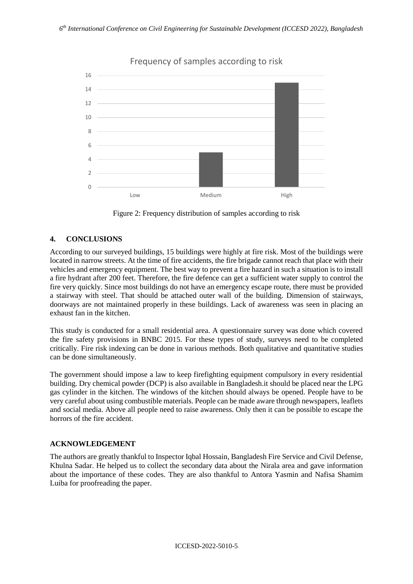

Frequency of samples according to risk

Figure 2: Frequency distribution of samples according to risk

## **4. CONCLUSIONS**

According to our surveyed buildings, 15 buildings were highly at fire risk. Most of the buildings were located in narrow streets. At the time of fire accidents, the fire brigade cannot reach that place with their vehicles and emergency equipment. The best way to prevent a fire hazard in such a situation is to install a fire hydrant after 200 feet. Therefore, the fire defence can get a sufficient water supply to control the fire very quickly. Since most buildings do not have an emergency escape route, there must be provided a stairway with steel. That should be attached outer wall of the building. Dimension of stairways, doorways are not maintained properly in these buildings. Lack of awareness was seen in placing an exhaust fan in the kitchen.

This study is conducted for a small residential area. A questionnaire survey was done which covered the fire safety provisions in BNBC 2015. For these types of study, surveys need to be completed critically. Fire risk indexing can be done in various methods. Both qualitative and quantitative studies can be done simultaneously.

The government should impose a law to keep firefighting equipment compulsory in every residential building. Dry chemical powder (DCP) is also available in Bangladesh.it should be placed near the LPG gas cylinder in the kitchen. The windows of the kitchen should always be opened. People have to be very careful about using combustible materials. People can be made aware through newspapers, leaflets and social media. Above all people need to raise awareness. Only then it can be possible to escape the horrors of the fire accident.

## **ACKNOWLEDGEMENT**

The authors are greatly thankful to Inspector Iqbal Hossain, Bangladesh Fire Service and Civil Defense, Khulna Sadar. He helped us to collect the secondary data about the Nirala area and gave information about the importance of these codes. They are also thankful to Antora Yasmin and Nafisa Shamim Luiba for proofreading the paper.